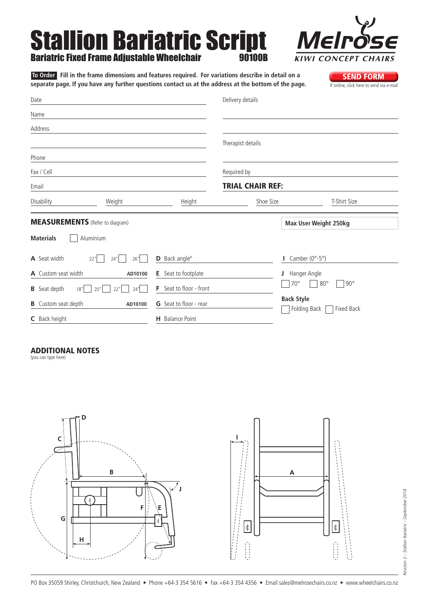# Stallion Bariatric Script Bariatric Fixed Frame Adjustable Wheelchair 90100B



Date Name Address Phone Fax / Cell Email Delivery details Therapist details Required by Trial Chair Ref: Disability Weight Height Shoe Size T-Shirt Size **SEND FORM**<br>If online, click here to send via e-mail  **To Order Fill in the frame dimensions and features required. For variations describe in detail on a**  separate page. If you have any further questions contact us at the address at the bottom of the page. **Materials** Aluminium MEASUREMENTS (Refer to diagram) **Max User Weight 250kg**

| <b>A</b> Seat width<br>22" | 26"<br>24"              | <b>D</b> Back angle <sup>o</sup> | Camber $(0^{\circ} - 5^{\circ})$                |
|----------------------------|-------------------------|----------------------------------|-------------------------------------------------|
| <b>A</b> Custom seat width | AD10100                 | Seat to footplate<br>Е.          | Hanger Angle                                    |
| <b>B</b> Seat depth<br>18" | $ 22" $ $ 24" $<br> 20" | F.<br>Seat to floor - front      | $70^{\circ}$<br>$80^{\circ}$<br>$90^{\circ}$    |
| <b>B</b> Custom seat depth | AD10100                 | <b>G</b> Seat to floor - rear    | <b>Back Style</b><br>Folding Back<br>Fixed Back |
| <b>C</b> Back height       |                         | <b>H</b> Balance Point           |                                                 |

#### Additional Notes

(you can type here)

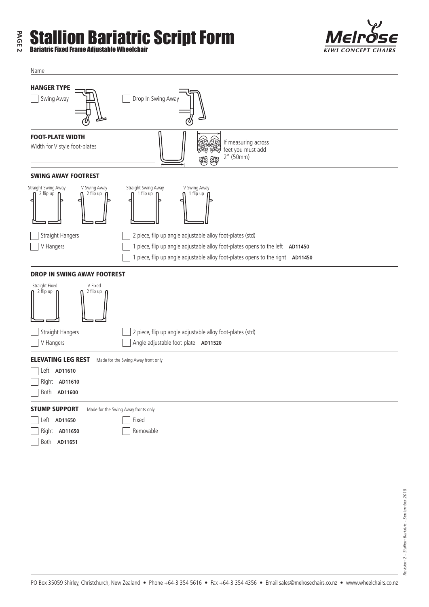## **PAGE 2 Stallion Bariatric Script Form**<br>Bariatric Fixed Frame Adjustable Wheelchair



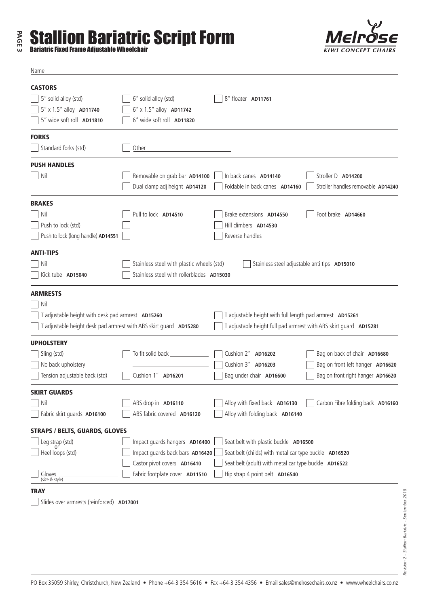## **PAGE 3 Stallion Bariatric Script Form**<br>Bariatric Fixed Frame Adjustable Wheelchair



Name



| <b>CASTORS</b>                                                    |                                                                                          |                                                                   |                                    |  |  |  |  |  |
|-------------------------------------------------------------------|------------------------------------------------------------------------------------------|-------------------------------------------------------------------|------------------------------------|--|--|--|--|--|
| 5" solid alloy (std)                                              | 6" solid alloy (std)                                                                     | 8" floater AD11761                                                |                                    |  |  |  |  |  |
| 5" x 1.5" alloy AD11740                                           | 6" x 1.5" alloy AD11742                                                                  |                                                                   |                                    |  |  |  |  |  |
| 5" wide soft roll AD11810                                         | 6" wide soft roll AD11820                                                                |                                                                   |                                    |  |  |  |  |  |
| <b>FORKS</b>                                                      |                                                                                          |                                                                   |                                    |  |  |  |  |  |
| Standard forks (std)                                              | Other                                                                                    |                                                                   |                                    |  |  |  |  |  |
| <b>PUSH HANDLES</b>                                               |                                                                                          |                                                                   |                                    |  |  |  |  |  |
| Nil                                                               | Removable on grab bar AD14100                                                            | In back canes AD14140                                             | Stroller D AD14200                 |  |  |  |  |  |
|                                                                   | Dual clamp adj height AD14120                                                            | Foldable in back canes AD14160                                    | Stroller handles removable AD14240 |  |  |  |  |  |
| <b>BRAKES</b>                                                     |                                                                                          |                                                                   |                                    |  |  |  |  |  |
| Nil                                                               | Pull to lock AD14510                                                                     | Brake extensions AD14550                                          | Foot brake AD14660                 |  |  |  |  |  |
| Push to lock (std)                                                |                                                                                          | Hill climbers AD14530                                             |                                    |  |  |  |  |  |
| Push to lock (long handle) AD14551                                |                                                                                          | Reverse handles                                                   |                                    |  |  |  |  |  |
| <b>ANTI-TIPS</b>                                                  |                                                                                          |                                                                   |                                    |  |  |  |  |  |
| Nil                                                               | Stainless steel with plastic wheels (std)                                                | Stainless steel adjustable anti tips AD15010                      |                                    |  |  |  |  |  |
| Kick tube AD15040                                                 | Stainless steel with rollerblades AD15030                                                |                                                                   |                                    |  |  |  |  |  |
| <b>ARMRESTS</b>                                                   |                                                                                          |                                                                   |                                    |  |  |  |  |  |
| Nil                                                               |                                                                                          |                                                                   |                                    |  |  |  |  |  |
| T adjustable height with desk pad armrest AD15260                 |                                                                                          | T adjustable height with full length pad armrest AD15261          |                                    |  |  |  |  |  |
| T adjustable height desk pad armrest with ABS skirt guard AD15280 |                                                                                          | T adjustable height full pad armrest with ABS skirt guard AD15281 |                                    |  |  |  |  |  |
| <b>UPHOLSTERY</b>                                                 |                                                                                          |                                                                   |                                    |  |  |  |  |  |
| Sling (std)                                                       | To fit solid back ____                                                                   | Cushion 2" AD16202                                                | Bag on back of chair AD16680       |  |  |  |  |  |
| No back upholstery                                                |                                                                                          | Cushion 3" AD16203                                                | Bag on front left hanger AD16620   |  |  |  |  |  |
| Tension adjustable back (std)                                     | Cushion 1" AD16201                                                                       | Bag under chair AD16600                                           | Bag on front right hanger AD16620  |  |  |  |  |  |
| <b>SKIRT GUARDS</b>                                               |                                                                                          |                                                                   |                                    |  |  |  |  |  |
| Nil                                                               | ABS drop in AD16110                                                                      | Alloy with fixed back AD16130                                     | Carbon Fibre folding back AD16160  |  |  |  |  |  |
| Fabric skirt quards AD16100                                       | ABS fabric covered AD16120                                                               | Alloy with folding back AD16140                                   |                                    |  |  |  |  |  |
| <b>STRAPS / BELTS, GUARDS, GLOVES</b>                             |                                                                                          |                                                                   |                                    |  |  |  |  |  |
| Leg strap (std)                                                   | Impact guards hangers AD16400                                                            | Seat belt with plastic buckle AD16500                             |                                    |  |  |  |  |  |
| Heel loops (std)                                                  | Impact guards back bars AD16420<br>Seat belt (childs) with metal car type buckle AD16520 |                                                                   |                                    |  |  |  |  |  |
|                                                                   | Castor pivot covers AD16410                                                              | Seat belt (adult) with metal car type buckle AD16522              |                                    |  |  |  |  |  |
| Gloves<br>(size & style)                                          | Fabric footplate cover AD11510                                                           | Hip strap 4 point belt AD16540                                    |                                    |  |  |  |  |  |
| <b>TRAY</b>                                                       |                                                                                          |                                                                   |                                    |  |  |  |  |  |
| Slides over armrests (reinforced) AD17001                         |                                                                                          |                                                                   |                                    |  |  |  |  |  |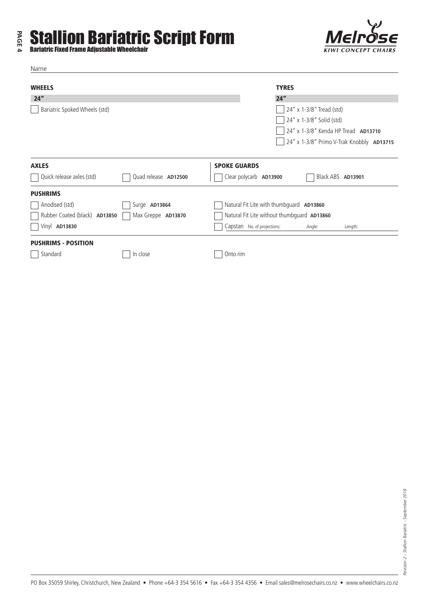## **PAGE 4 Stallion Bariatric Script Form**<br>Bariatric Fixed Frame Adjustable Wheelchair



Name

| <b>WHEELS</b>                                       |                      |                                             | <b>TYRES</b>             |                          |                                           |  |
|-----------------------------------------------------|----------------------|---------------------------------------------|--------------------------|--------------------------|-------------------------------------------|--|
| 24"                                                 |                      |                                             | 24"                      |                          |                                           |  |
| Bariatric Spoked Wheels (std)                       |                      |                                             | 24" x 1-3/8" Tread (std) |                          |                                           |  |
|                                                     |                      |                                             |                          | 24" x 1-3/8" Solid (std) |                                           |  |
|                                                     |                      |                                             |                          |                          | 24" x 1-3/8" Kenda HP Tread AD13710       |  |
|                                                     |                      |                                             |                          |                          | 24" x 1-3/8" Primo V-Trak Knobbly AD13715 |  |
| <b>AXLES</b>                                        |                      | <b>SPOKE GUARDS</b>                         |                          |                          |                                           |  |
| Quick release axles (std)                           | Quad release AD12500 | Clear polycarb AD13900                      |                          | Black ABS <b>AD13901</b> |                                           |  |
| <b>PUSHRIMS</b>                                     |                      |                                             |                          |                          |                                           |  |
| Anodised (std)                                      | Surge AD13864        | Natural Fit Lite with thumbguard AD13860    |                          |                          |                                           |  |
| Rubber Coated (black) AD13850<br>Max Greppe AD13870 |                      | Natural Fit Lite without thumbguard AD13860 |                          |                          |                                           |  |
| Vinyl AD13830                                       |                      | Capstan No. of projections:                 |                          | Angle:                   | Length:                                   |  |
| <b>PUSHRIMS - POSITION</b>                          |                      |                                             |                          |                          |                                           |  |
| Standard                                            | In close             | Onto rim                                    |                          |                          |                                           |  |